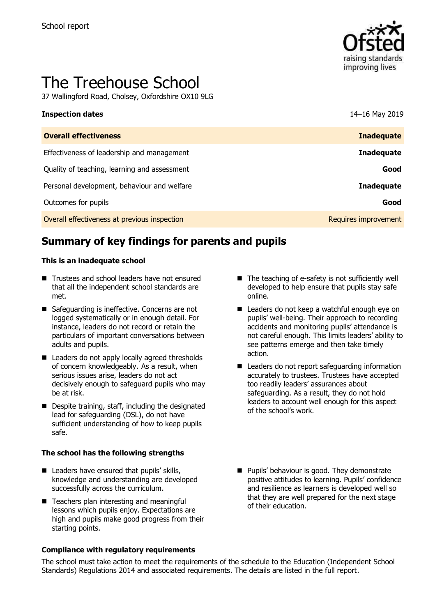

# The Treehouse School

37 Wallingford Road, Cholsey, Oxfordshire OX10 9LG

| <b>Inspection dates</b>                      | 14-16 May 2019       |
|----------------------------------------------|----------------------|
| <b>Overall effectiveness</b>                 | <b>Inadequate</b>    |
| Effectiveness of leadership and management   | <b>Inadequate</b>    |
| Quality of teaching, learning and assessment | Good                 |
| Personal development, behaviour and welfare  | <b>Inadequate</b>    |
| Outcomes for pupils                          | Good                 |
| Overall effectiveness at previous inspection | Requires improvement |

# **Summary of key findings for parents and pupils**

#### **This is an inadequate school**

- Trustees and school leaders have not ensured that all the independent school standards are met.
- Safeguarding is ineffective. Concerns are not logged systematically or in enough detail. For instance, leaders do not record or retain the particulars of important conversations between adults and pupils.
- Leaders do not apply locally agreed thresholds of concern knowledgeably. As a result, when serious issues arise, leaders do not act decisively enough to safeguard pupils who may be at risk.
- Despite training, staff, including the designated lead for safeguarding (DSL), do not have sufficient understanding of how to keep pupils safe.

#### **The school has the following strengths**

- Leaders have ensured that pupils' skills, knowledge and understanding are developed successfully across the curriculum.
- Teachers plan interesting and meaningful lessons which pupils enjoy. Expectations are high and pupils make good progress from their starting points.

#### **Compliance with regulatory requirements**

- The teaching of e-safety is not sufficiently well developed to help ensure that pupils stay safe online.
- Leaders do not keep a watchful enough eye on pupils' well-being. Their approach to recording accidents and monitoring pupils' attendance is not careful enough. This limits leaders' ability to see patterns emerge and then take timely action.
- Leaders do not report safeguarding information accurately to trustees. Trustees have accepted too readily leaders' assurances about safeguarding. As a result, they do not hold leaders to account well enough for this aspect of the school's work.
- Pupils' behaviour is good. They demonstrate positive attitudes to learning. Pupils' confidence and resilience as learners is developed well so that they are well prepared for the next stage of their education.

The school must take action to meet the requirements of the schedule to the Education (Independent School Standards) Regulations 2014 and associated requirements. The details are listed in the full report.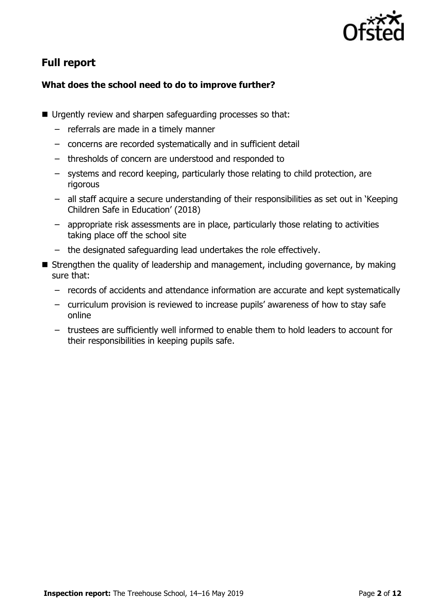

# **Full report**

### **What does the school need to do to improve further?**

- Urgently review and sharpen safeguarding processes so that:
	- referrals are made in a timely manner
	- concerns are recorded systematically and in sufficient detail
	- thresholds of concern are understood and responded to
	- systems and record keeping, particularly those relating to child protection, are rigorous
	- all staff acquire a secure understanding of their responsibilities as set out in 'Keeping Children Safe in Education' (2018)
	- appropriate risk assessments are in place, particularly those relating to activities taking place off the school site
	- the designated safeguarding lead undertakes the role effectively.
- Strengthen the quality of leadership and management, including governance, by making sure that:
	- records of accidents and attendance information are accurate and kept systematically
	- curriculum provision is reviewed to increase pupils' awareness of how to stay safe online
	- trustees are sufficiently well informed to enable them to hold leaders to account for their responsibilities in keeping pupils safe.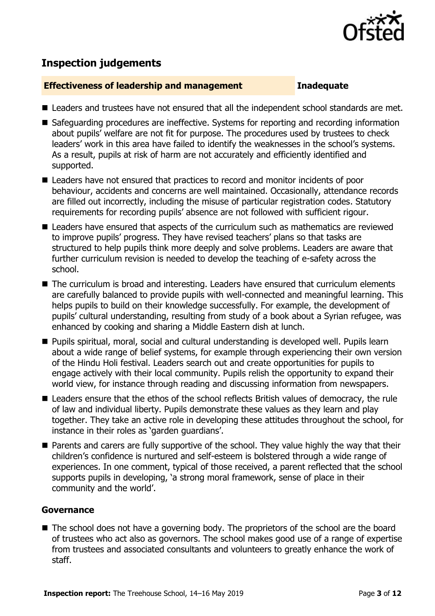

# **Inspection judgements**

#### **Effectiveness of leadership and management Inadequate**

- Leaders and trustees have not ensured that all the independent school standards are met.
- Safeguarding procedures are ineffective. Systems for reporting and recording information about pupils' welfare are not fit for purpose. The procedures used by trustees to check leaders' work in this area have failed to identify the weaknesses in the school's systems. As a result, pupils at risk of harm are not accurately and efficiently identified and supported.
- Leaders have not ensured that practices to record and monitor incidents of poor behaviour, accidents and concerns are well maintained. Occasionally, attendance records are filled out incorrectly, including the misuse of particular registration codes. Statutory requirements for recording pupils' absence are not followed with sufficient rigour.
- Leaders have ensured that aspects of the curriculum such as mathematics are reviewed to improve pupils' progress. They have revised teachers' plans so that tasks are structured to help pupils think more deeply and solve problems. Leaders are aware that further curriculum revision is needed to develop the teaching of e-safety across the school.
- The curriculum is broad and interesting. Leaders have ensured that curriculum elements are carefully balanced to provide pupils with well-connected and meaningful learning. This helps pupils to build on their knowledge successfully. For example, the development of pupils' cultural understanding, resulting from study of a book about a Syrian refugee, was enhanced by cooking and sharing a Middle Eastern dish at lunch.
- Pupils spiritual, moral, social and cultural understanding is developed well. Pupils learn about a wide range of belief systems, for example through experiencing their own version of the Hindu Holi festival. Leaders search out and create opportunities for pupils to engage actively with their local community. Pupils relish the opportunity to expand their world view, for instance through reading and discussing information from newspapers.
- Leaders ensure that the ethos of the school reflects British values of democracy, the rule of law and individual liberty. Pupils demonstrate these values as they learn and play together. They take an active role in developing these attitudes throughout the school, for instance in their roles as 'garden guardians'.
- Parents and carers are fully supportive of the school. They value highly the way that their children's confidence is nurtured and self-esteem is bolstered through a wide range of experiences. In one comment, typical of those received, a parent reflected that the school supports pupils in developing, 'a strong moral framework, sense of place in their community and the world'.

#### **Governance**

■ The school does not have a governing body. The proprietors of the school are the board of trustees who act also as governors. The school makes good use of a range of expertise from trustees and associated consultants and volunteers to greatly enhance the work of staff.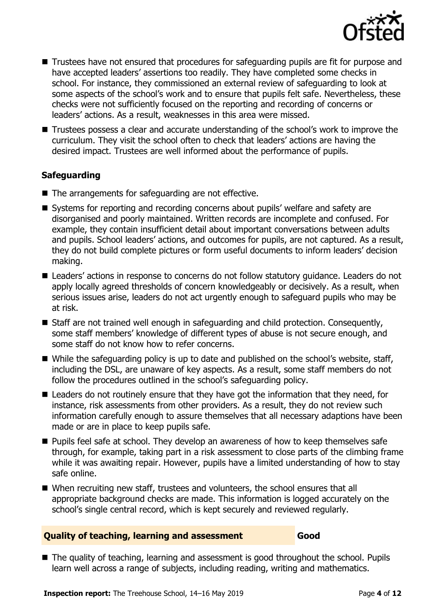

- Trustees have not ensured that procedures for safeguarding pupils are fit for purpose and have accepted leaders' assertions too readily. They have completed some checks in school. For instance, they commissioned an external review of safeguarding to look at some aspects of the school's work and to ensure that pupils felt safe. Nevertheless, these checks were not sufficiently focused on the reporting and recording of concerns or leaders' actions. As a result, weaknesses in this area were missed.
- Trustees possess a clear and accurate understanding of the school's work to improve the curriculum. They visit the school often to check that leaders' actions are having the desired impact. Trustees are well informed about the performance of pupils.

#### **Safeguarding**

- The arrangements for safeguarding are not effective.
- Systems for reporting and recording concerns about pupils' welfare and safety are disorganised and poorly maintained. Written records are incomplete and confused. For example, they contain insufficient detail about important conversations between adults and pupils. School leaders' actions, and outcomes for pupils, are not captured. As a result, they do not build complete pictures or form useful documents to inform leaders' decision making.
- Leaders' actions in response to concerns do not follow statutory guidance. Leaders do not apply locally agreed thresholds of concern knowledgeably or decisively. As a result, when serious issues arise, leaders do not act urgently enough to safeguard pupils who may be at risk.
- Staff are not trained well enough in safeguarding and child protection. Consequently, some staff members' knowledge of different types of abuse is not secure enough, and some staff do not know how to refer concerns.
- $\blacksquare$  While the safeguarding policy is up to date and published on the school's website, staff, including the DSL, are unaware of key aspects. As a result, some staff members do not follow the procedures outlined in the school's safeguarding policy.
- Leaders do not routinely ensure that they have got the information that they need, for instance, risk assessments from other providers. As a result, they do not review such information carefully enough to assure themselves that all necessary adaptions have been made or are in place to keep pupils safe.
- Pupils feel safe at school. They develop an awareness of how to keep themselves safe through, for example, taking part in a risk assessment to close parts of the climbing frame while it was awaiting repair. However, pupils have a limited understanding of how to stay safe online.
- When recruiting new staff, trustees and volunteers, the school ensures that all appropriate background checks are made. This information is logged accurately on the school's single central record, which is kept securely and reviewed regularly.

#### **Quality of teaching, learning and assessment Good**

■ The quality of teaching, learning and assessment is good throughout the school. Pupils learn well across a range of subjects, including reading, writing and mathematics.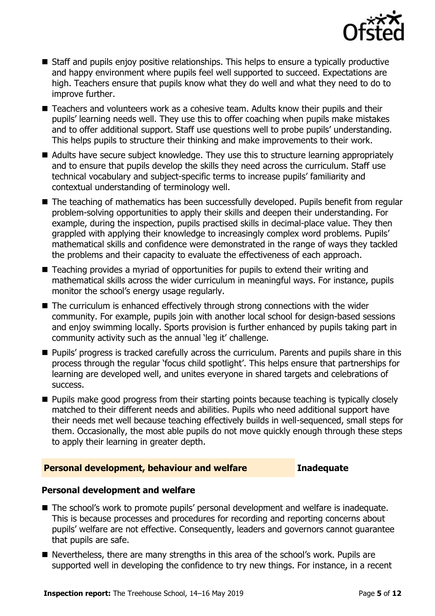

- Staff and pupils enjoy positive relationships. This helps to ensure a typically productive and happy environment where pupils feel well supported to succeed. Expectations are high. Teachers ensure that pupils know what they do well and what they need to do to improve further.
- Teachers and volunteers work as a cohesive team. Adults know their pupils and their pupils' learning needs well. They use this to offer coaching when pupils make mistakes and to offer additional support. Staff use questions well to probe pupils' understanding. This helps pupils to structure their thinking and make improvements to their work.
- Adults have secure subject knowledge. They use this to structure learning appropriately and to ensure that pupils develop the skills they need across the curriculum. Staff use technical vocabulary and subject-specific terms to increase pupils' familiarity and contextual understanding of terminology well.
- The teaching of mathematics has been successfully developed. Pupils benefit from regular problem-solving opportunities to apply their skills and deepen their understanding. For example, during the inspection, pupils practised skills in decimal-place value. They then grappled with applying their knowledge to increasingly complex word problems. Pupils' mathematical skills and confidence were demonstrated in the range of ways they tackled the problems and their capacity to evaluate the effectiveness of each approach.
- Teaching provides a myriad of opportunities for pupils to extend their writing and mathematical skills across the wider curriculum in meaningful ways. For instance, pupils monitor the school's energy usage regularly.
- The curriculum is enhanced effectively through strong connections with the wider community. For example, pupils join with another local school for design-based sessions and enjoy swimming locally. Sports provision is further enhanced by pupils taking part in community activity such as the annual 'leg it' challenge.
- Pupils' progress is tracked carefully across the curriculum. Parents and pupils share in this process through the regular 'focus child spotlight'. This helps ensure that partnerships for learning are developed well, and unites everyone in shared targets and celebrations of success.
- Pupils make good progress from their starting points because teaching is typically closely matched to their different needs and abilities. Pupils who need additional support have their needs met well because teaching effectively builds in well-sequenced, small steps for them. Occasionally, the most able pupils do not move quickly enough through these steps to apply their learning in greater depth.

#### **Personal development, behaviour and welfare <b>Inadequate**

#### **Personal development and welfare**

- The school's work to promote pupils' personal development and welfare is inadequate. This is because processes and procedures for recording and reporting concerns about pupils' welfare are not effective. Consequently, leaders and governors cannot guarantee that pupils are safe.
- Nevertheless, there are many strengths in this area of the school's work. Pupils are supported well in developing the confidence to try new things. For instance, in a recent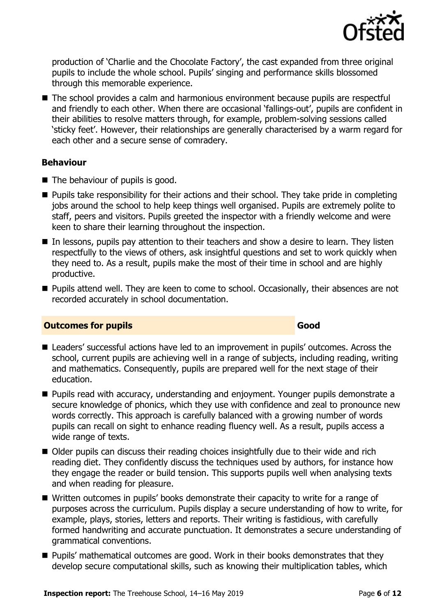

production of 'Charlie and the Chocolate Factory', the cast expanded from three original pupils to include the whole school. Pupils' singing and performance skills blossomed through this memorable experience.

■ The school provides a calm and harmonious environment because pupils are respectful and friendly to each other. When there are occasional 'fallings-out', pupils are confident in their abilities to resolve matters through, for example, problem-solving sessions called 'sticky feet'. However, their relationships are generally characterised by a warm regard for each other and a secure sense of comradery.

#### **Behaviour**

- The behaviour of pupils is good.
- Pupils take responsibility for their actions and their school. They take pride in completing jobs around the school to help keep things well organised. Pupils are extremely polite to staff, peers and visitors. Pupils greeted the inspector with a friendly welcome and were keen to share their learning throughout the inspection.
- In lessons, pupils pay attention to their teachers and show a desire to learn. They listen respectfully to the views of others, ask insightful questions and set to work quickly when they need to. As a result, pupils make the most of their time in school and are highly productive.
- Pupils attend well. They are keen to come to school. Occasionally, their absences are not recorded accurately in school documentation.

#### **Outcomes for pupils Good Good**

- Leaders' successful actions have led to an improvement in pupils' outcomes. Across the school, current pupils are achieving well in a range of subjects, including reading, writing and mathematics. Consequently, pupils are prepared well for the next stage of their education.
- Pupils read with accuracy, understanding and enjoyment. Younger pupils demonstrate a secure knowledge of phonics, which they use with confidence and zeal to pronounce new words correctly. This approach is carefully balanced with a growing number of words pupils can recall on sight to enhance reading fluency well. As a result, pupils access a wide range of texts.
- Older pupils can discuss their reading choices insightfully due to their wide and rich reading diet. They confidently discuss the techniques used by authors, for instance how they engage the reader or build tension. This supports pupils well when analysing texts and when reading for pleasure.
- Written outcomes in pupils' books demonstrate their capacity to write for a range of purposes across the curriculum. Pupils display a secure understanding of how to write, for example, plays, stories, letters and reports. Their writing is fastidious, with carefully formed handwriting and accurate punctuation. It demonstrates a secure understanding of grammatical conventions.
- Pupils' mathematical outcomes are good. Work in their books demonstrates that they develop secure computational skills, such as knowing their multiplication tables, which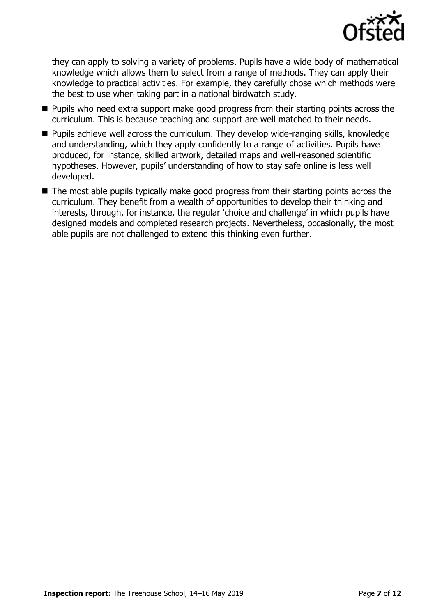

they can apply to solving a variety of problems. Pupils have a wide body of mathematical knowledge which allows them to select from a range of methods. They can apply their knowledge to practical activities. For example, they carefully chose which methods were the best to use when taking part in a national birdwatch study.

- Pupils who need extra support make good progress from their starting points across the curriculum. This is because teaching and support are well matched to their needs.
- Pupils achieve well across the curriculum. They develop wide-ranging skills, knowledge and understanding, which they apply confidently to a range of activities. Pupils have produced, for instance, skilled artwork, detailed maps and well-reasoned scientific hypotheses. However, pupils' understanding of how to stay safe online is less well developed.
- The most able pupils typically make good progress from their starting points across the curriculum. They benefit from a wealth of opportunities to develop their thinking and interests, through, for instance, the regular 'choice and challenge' in which pupils have designed models and completed research projects. Nevertheless, occasionally, the most able pupils are not challenged to extend this thinking even further.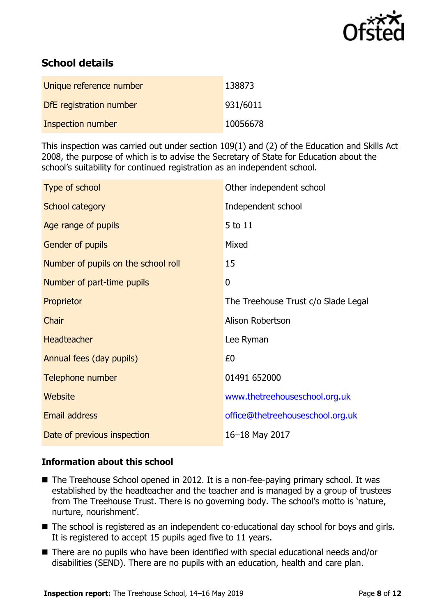

# **School details**

| Unique reference number | 138873   |
|-------------------------|----------|
| DfE registration number | 931/6011 |
| Inspection number       | 10056678 |

This inspection was carried out under section 109(1) and (2) of the Education and Skills Act 2008, the purpose of which is to advise the Secretary of State for Education about the school's suitability for continued registration as an independent school.

| Type of school                      | Other independent school            |
|-------------------------------------|-------------------------------------|
| School category                     | Independent school                  |
| Age range of pupils                 | 5 to 11                             |
| Gender of pupils                    | Mixed                               |
| Number of pupils on the school roll | 15                                  |
| Number of part-time pupils          | $\overline{0}$                      |
| Proprietor                          | The Treehouse Trust c/o Slade Legal |
| Chair                               | Alison Robertson                    |
| <b>Headteacher</b>                  | Lee Ryman                           |
| Annual fees (day pupils)            | £0                                  |
| Telephone number                    | 01491 652000                        |
| <b>Website</b>                      | www.thetreehouseschool.org.uk       |
| <b>Email address</b>                | office@thetreehouseschool.org.uk    |
| Date of previous inspection         | 16-18 May 2017                      |

#### **Information about this school**

- The Treehouse School opened in 2012. It is a non-fee-paying primary school. It was established by the headteacher and the teacher and is managed by a group of trustees from The Treehouse Trust. There is no governing body. The school's motto is 'nature, nurture, nourishment'.
- The school is registered as an independent co-educational day school for boys and girls. It is registered to accept 15 pupils aged five to 11 years.
- There are no pupils who have been identified with special educational needs and/or disabilities (SEND). There are no pupils with an education, health and care plan.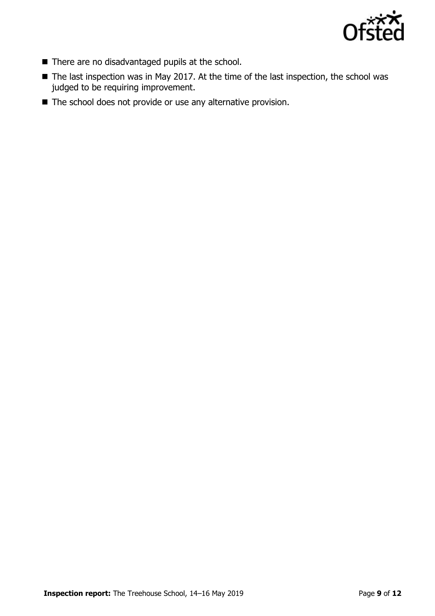

- There are no disadvantaged pupils at the school.
- The last inspection was in May 2017. At the time of the last inspection, the school was judged to be requiring improvement.
- The school does not provide or use any alternative provision.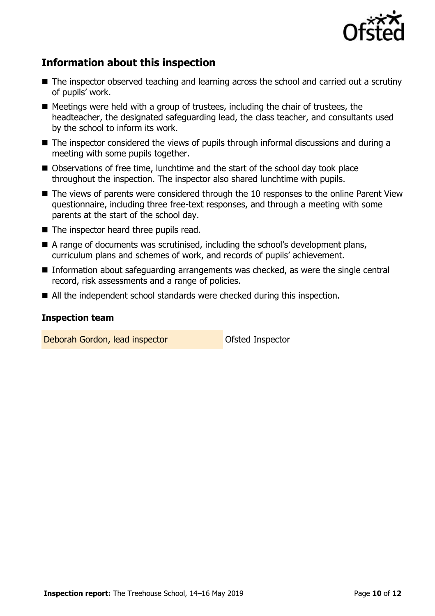

# **Information about this inspection**

- The inspector observed teaching and learning across the school and carried out a scrutiny of pupils' work.
- Meetings were held with a group of trustees, including the chair of trustees, the headteacher, the designated safeguarding lead, the class teacher, and consultants used by the school to inform its work.
- The inspector considered the views of pupils through informal discussions and during a meeting with some pupils together.
- Observations of free time, lunchtime and the start of the school day took place throughout the inspection. The inspector also shared lunchtime with pupils.
- The views of parents were considered through the 10 responses to the online Parent View questionnaire, including three free-text responses, and through a meeting with some parents at the start of the school day.
- The inspector heard three pupils read.
- A range of documents was scrutinised, including the school's development plans, curriculum plans and schemes of work, and records of pupils' achievement.
- Information about safeguarding arrangements was checked, as were the single central record, risk assessments and a range of policies.
- All the independent school standards were checked during this inspection.

#### **Inspection team**

Deborah Gordon, lead inspector **Constanting Constanting Constanting Constanting Constanting Constanting Constanting Constanting Constanting Constanting Constanting Constanting Constanting Constanting Constanting Constantin**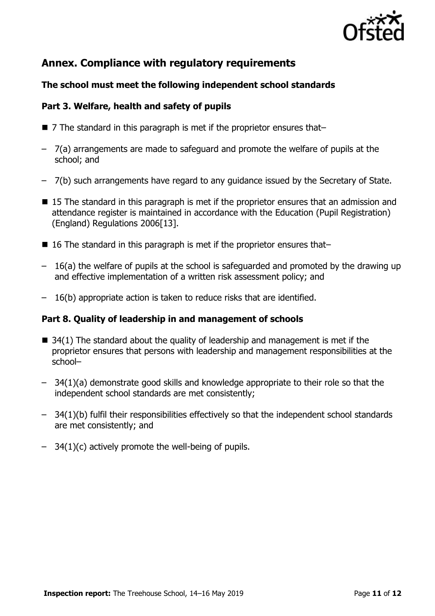

# **Annex. Compliance with regulatory requirements**

### **The school must meet the following independent school standards**

#### **Part 3. Welfare, health and safety of pupils**

- $\blacksquare$  7 The standard in this paragraph is met if the proprietor ensures that-
- 7(a) arrangements are made to safeguard and promote the welfare of pupils at the school; and
- 7(b) such arrangements have regard to any guidance issued by the Secretary of State.
- 15 The standard in this paragraph is met if the proprietor ensures that an admission and attendance register is maintained in accordance with the Education (Pupil Registration) (England) Regulations 2006[13].
- 16 The standard in this paragraph is met if the proprietor ensures that–
- 16(a) the welfare of pupils at the school is safeguarded and promoted by the drawing up and effective implementation of a written risk assessment policy; and
- 16(b) appropriate action is taken to reduce risks that are identified.

#### **Part 8. Quality of leadership in and management of schools**

- $\blacksquare$  34(1) The standard about the quality of leadership and management is met if the proprietor ensures that persons with leadership and management responsibilities at the school–
- 34(1)(a) demonstrate good skills and knowledge appropriate to their role so that the independent school standards are met consistently;
- 34(1)(b) fulfil their responsibilities effectively so that the independent school standards are met consistently; and
- 34(1)(c) actively promote the well-being of pupils.